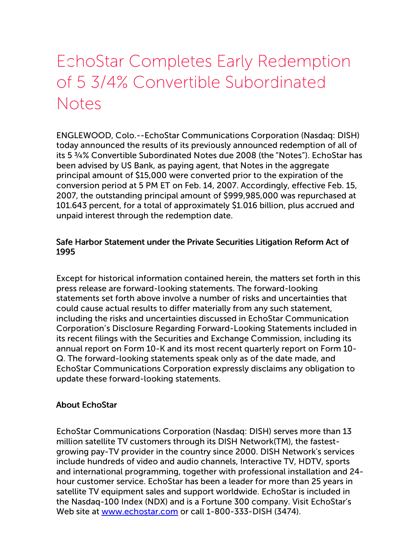## EchoStar Completes Early Redemption of 5 3/4% Convertible Subordinated **Notes**

ENGLEWOOD, Colo.--EchoStar Communications Corporation (Nasdaq: DISH) today announced the results of its previously announced redemption of all of its 5 ¾% Convertible Subordinated Notes due 2008 (the "Notes"). EchoStar has been advised by US Bank, as paying agent, that Notes in the aggregate principal amount of \$15,000 were converted prior to the expiration of the conversion period at 5 PM ET on Feb. 14, 2007. Accordingly, effective Feb. 15, 2007, the outstanding principal amount of \$999,985,000 was repurchased at 101.643 percent, for a total of approximately \$1.016 billion, plus accrued and unpaid interest through the redemption date.

## Safe Harbor Statement under the Private Securities Litigation Reform Act of 1995

Except for historical information contained herein, the matters set forth in this press release are forward-looking statements. The forward-looking statements set forth above involve a number of risks and uncertainties that could cause actual results to differ materially from any such statement, including the risks and uncertainties discussed in EchoStar Communication Corporation's Disclosure Regarding Forward-Looking Statements included in its recent filings with the Securities and Exchange Commission, including its annual report on Form 10-K and its most recent quarterly report on Form 10- Q. The forward-looking statements speak only as of the date made, and EchoStar Communications Corporation expressly disclaims any obligation to update these forward-looking statements.

## About EchoStar

EchoStar Communications Corporation (Nasdaq: DISH) serves more than 13 million satellite TV customers through its DISH Network(TM), the fastestgrowing pay-TV provider in the country since 2000. DISH Network's services include hundreds of video and audio channels, Interactive TV, HDTV, sports and international programming, together with professional installation and 24 hour customer service. EchoStar has been a leader for more than 25 years in satellite TV equipment sales and support worldwide. EchoStar is included in the Nasdaq-100 Index (NDX) and is a Fortune 300 company. Visit EchoStar's Web site at [www.echostar.com](http://www.echostar.com/) or call 1-800-333-DISH (3474).